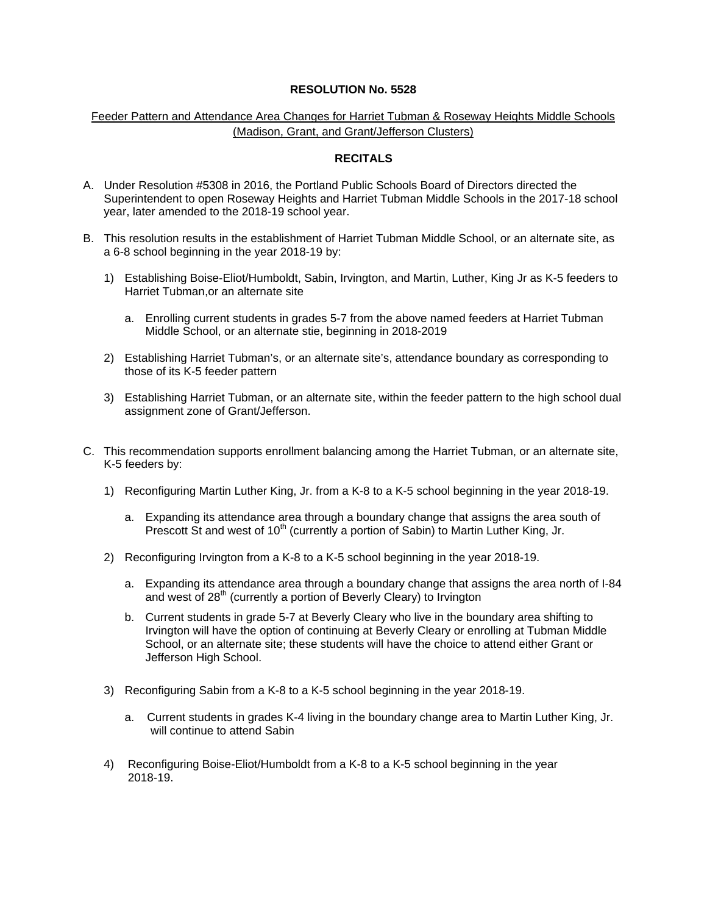## **RESOLUTION No. 5528**

## Feeder Pattern and Attendance Area Changes for Harriet Tubman & Roseway Heights Middle Schools (Madison, Grant, and Grant/Jefferson Clusters)

## **RECITALS**

- A. Under Resolution #5308 in 2016, the Portland Public Schools Board of Directors directed the Superintendent to open Roseway Heights and Harriet Tubman Middle Schools in the 2017-18 school year, later amended to the 2018-19 school year.
- B. This resolution results in the establishment of Harriet Tubman Middle School, or an alternate site, as a 6-8 school beginning in the year 2018-19 by:
	- 1) Establishing Boise-Eliot/Humboldt, Sabin, Irvington, and Martin, Luther, King Jr as K-5 feeders to Harriet Tubman,or an alternate site
		- a. Enrolling current students in grades 5-7 from the above named feeders at Harriet Tubman Middle School, or an alternate stie, beginning in 2018-2019
	- 2) Establishing Harriet Tubman's, or an alternate site's, attendance boundary as corresponding to those of its K-5 feeder pattern
	- 3) Establishing Harriet Tubman, or an alternate site, within the feeder pattern to the high school dual assignment zone of Grant/Jefferson.
- C. This recommendation supports enrollment balancing among the Harriet Tubman, or an alternate site, K-5 feeders by:
	- 1) Reconfiguring Martin Luther King, Jr. from a K-8 to a K-5 school beginning in the year 2018-19.
		- a. Expanding its attendance area through a boundary change that assigns the area south of Prescott St and west of  $10<sup>th</sup>$  (currently a portion of Sabin) to Martin Luther King, Jr.
	- 2) Reconfiguring Irvington from a K-8 to a K-5 school beginning in the year 2018-19.
		- a. Expanding its attendance area through a boundary change that assigns the area north of I-84 and west of 28<sup>th</sup> (currently a portion of Beverly Cleary) to Irvington
		- b. Current students in grade 5-7 at Beverly Cleary who live in the boundary area shifting to Irvington will have the option of continuing at Beverly Cleary or enrolling at Tubman Middle School, or an alternate site; these students will have the choice to attend either Grant or Jefferson High School.
	- 3) Reconfiguring Sabin from a K-8 to a K-5 school beginning in the year 2018-19.
		- a. Current students in grades K-4 living in the boundary change area to Martin Luther King, Jr. will continue to attend Sabin
	- 4) Reconfiguring Boise-Eliot/Humboldt from a K-8 to a K-5 school beginning in the year 2018-19.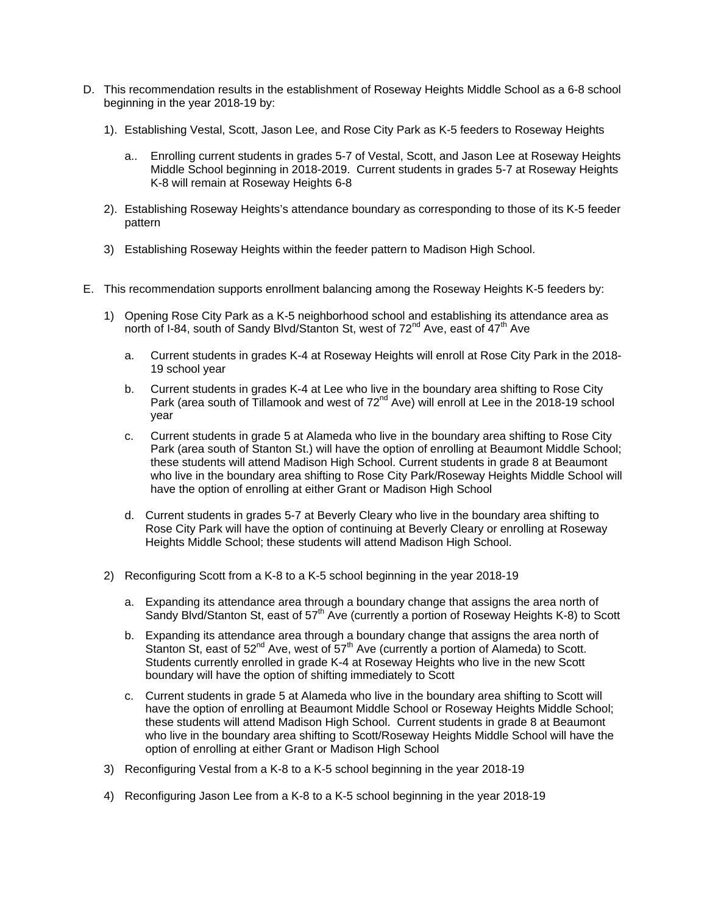- D. This recommendation results in the establishment of Roseway Heights Middle School as a 6-8 school beginning in the year 2018-19 by:
	- 1). Establishing Vestal, Scott, Jason Lee, and Rose City Park as K-5 feeders to Roseway Heights
		- a.. Enrolling current students in grades 5-7 of Vestal, Scott, and Jason Lee at Roseway Heights Middle School beginning in 2018-2019. Current students in grades 5-7 at Roseway Heights K-8 will remain at Roseway Heights 6-8
	- 2). Establishing Roseway Heights's attendance boundary as corresponding to those of its K-5 feeder pattern
	- 3) Establishing Roseway Heights within the feeder pattern to Madison High School.
- E. This recommendation supports enrollment balancing among the Roseway Heights K-5 feeders by:
	- 1) Opening Rose City Park as a K-5 neighborhood school and establishing its attendance area as north of I-84, south of Sandy Blvd/Stanton St, west of  $72^{nd}$  Ave, east of  $47^{th}$  Ave
		- a. Current students in grades K-4 at Roseway Heights will enroll at Rose City Park in the 2018- 19 school year
		- b. Current students in grades K-4 at Lee who live in the boundary area shifting to Rose City Park (area south of Tillamook and west of 72nd Ave) will enroll at Lee in the 2018-19 school year
		- c. Current students in grade 5 at Alameda who live in the boundary area shifting to Rose City Park (area south of Stanton St.) will have the option of enrolling at Beaumont Middle School; these students will attend Madison High School. Current students in grade 8 at Beaumont who live in the boundary area shifting to Rose City Park/Roseway Heights Middle School will have the option of enrolling at either Grant or Madison High School
		- d. Current students in grades 5-7 at Beverly Cleary who live in the boundary area shifting to Rose City Park will have the option of continuing at Beverly Cleary or enrolling at Roseway Heights Middle School; these students will attend Madison High School.
	- 2) Reconfiguring Scott from a K-8 to a K-5 school beginning in the year 2018-19
		- a. Expanding its attendance area through a boundary change that assigns the area north of Sandy Blvd/Stanton St, east of 57<sup>th</sup> Ave (currently a portion of Roseway Heights K-8) to Scott
		- b. Expanding its attendance area through a boundary change that assigns the area north of Stanton St, east of  $52^{nd}$  Ave, west of  $57^{th}$  Ave (currently a portion of Alameda) to Scott. Students currently enrolled in grade K-4 at Roseway Heights who live in the new Scott boundary will have the option of shifting immediately to Scott
		- c. Current students in grade 5 at Alameda who live in the boundary area shifting to Scott will have the option of enrolling at Beaumont Middle School or Roseway Heights Middle School; these students will attend Madison High School. Current students in grade 8 at Beaumont who live in the boundary area shifting to Scott/Roseway Heights Middle School will have the option of enrolling at either Grant or Madison High School
	- 3) Reconfiguring Vestal from a K-8 to a K-5 school beginning in the year 2018-19
	- 4) Reconfiguring Jason Lee from a K-8 to a K-5 school beginning in the year 2018-19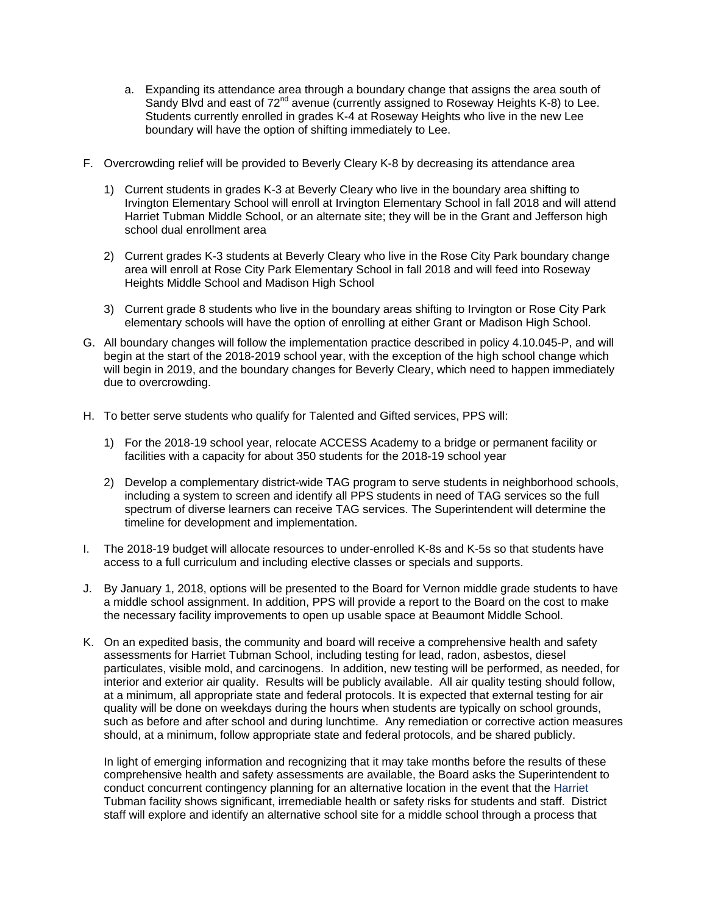- a. Expanding its attendance area through a boundary change that assigns the area south of Sandy Blvd and east of 72<sup>nd</sup> avenue (currently assigned to Roseway Heights K-8) to Lee. Students currently enrolled in grades K-4 at Roseway Heights who live in the new Lee boundary will have the option of shifting immediately to Lee.
- F. Overcrowding relief will be provided to Beverly Cleary K-8 by decreasing its attendance area
	- 1) Current students in grades K-3 at Beverly Cleary who live in the boundary area shifting to Irvington Elementary School will enroll at Irvington Elementary School in fall 2018 and will attend Harriet Tubman Middle School, or an alternate site; they will be in the Grant and Jefferson high school dual enrollment area
	- 2) Current grades K-3 students at Beverly Cleary who live in the Rose City Park boundary change area will enroll at Rose City Park Elementary School in fall 2018 and will feed into Roseway Heights Middle School and Madison High School
	- 3) Current grade 8 students who live in the boundary areas shifting to Irvington or Rose City Park elementary schools will have the option of enrolling at either Grant or Madison High School.
- G. All boundary changes will follow the implementation practice described in policy 4.10.045-P, and will begin at the start of the 2018-2019 school year, with the exception of the high school change which will begin in 2019, and the boundary changes for Beverly Cleary, which need to happen immediately due to overcrowding.
- H. To better serve students who qualify for Talented and Gifted services, PPS will:
	- 1) For the 2018-19 school year, relocate ACCESS Academy to a bridge or permanent facility or facilities with a capacity for about 350 students for the 2018-19 school year
	- 2) Develop a complementary district-wide TAG program to serve students in neighborhood schools, including a system to screen and identify all PPS students in need of TAG services so the full spectrum of diverse learners can receive TAG services. The Superintendent will determine the timeline for development and implementation.
- I. The 2018-19 budget will allocate resources to under-enrolled K-8s and K-5s so that students have access to a full curriculum and including elective classes or specials and supports.
- J. By January 1, 2018, options will be presented to the Board for Vernon middle grade students to have a middle school assignment. In addition, PPS will provide a report to the Board on the cost to make the necessary facility improvements to open up usable space at Beaumont Middle School.
- K. On an expedited basis, the community and board will receive a comprehensive health and safety assessments for Harriet Tubman School, including testing for lead, radon, asbestos, diesel particulates, visible mold, and carcinogens. In addition, new testing will be performed, as needed, for interior and exterior air quality. Results will be publicly available. All air quality testing should follow, at a minimum, all appropriate state and federal protocols. It is expected that external testing for air quality will be done on weekdays during the hours when students are typically on school grounds, such as before and after school and during lunchtime. Any remediation or corrective action measures should, at a minimum, follow appropriate state and federal protocols, and be shared publicly.

In light of emerging information and recognizing that it may take months before the results of these comprehensive health and safety assessments are available, the Board asks the Superintendent to conduct concurrent contingency planning for an alternative location in the event that the Harriet Tubman facility shows significant, irremediable health or safety risks for students and staff. District staff will explore and identify an alternative school site for a middle school through a process that